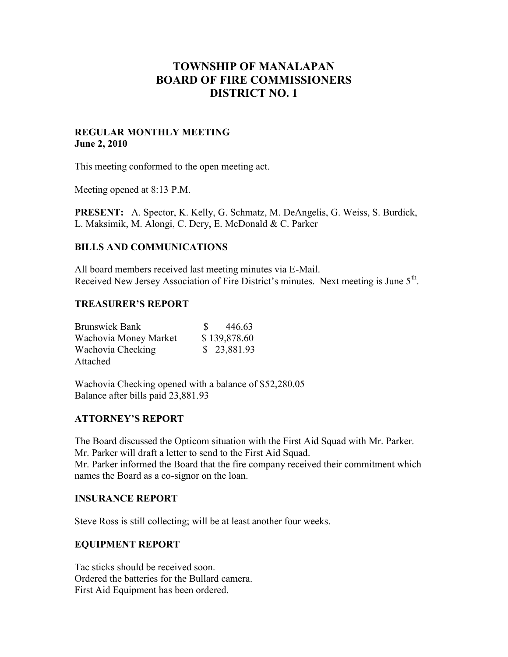# **TOWNSHIP OF MANALAPAN BOARD OF FIRE COMMISSIONERS DISTRICT NO. 1**

### **REGULAR MONTHLY MEETING June 2, 2010**

This meeting conformed to the open meeting act.

Meeting opened at 8:13 P.M.

**PRESENT:** A. Spector, K. Kelly, G. Schmatz, M. DeAngelis, G. Weiss, S. Burdick, L. Maksimik, M. Alongi, C. Dery, E. McDonald & C. Parker

### **BILLS AND COMMUNICATIONS**

All board members received last meeting minutes via E-Mail. Received New Jersey Association of Fire District's minutes. Next meeting is June  $5<sup>th</sup>$ .

### **TREASURER'S REPORT**

| <b>Brunswick Bank</b> | 446.63       |
|-----------------------|--------------|
| Wachovia Money Market | \$139,878.60 |
| Wachovia Checking     | \$23,881.93  |
| Attached              |              |

Wachovia Checking opened with a balance of \$52,280.05 Balance after bills paid 23,881.93

## **ATTORNEY'S REPORT**

The Board discussed the Opticom situation with the First Aid Squad with Mr. Parker. Mr. Parker will draft a letter to send to the First Aid Squad. Mr. Parker informed the Board that the fire company received their commitment which names the Board as a co-signor on the loan.

### **INSURANCE REPORT**

Steve Ross is still collecting; will be at least another four weeks.

### **EQUIPMENT REPORT**

Tac sticks should be received soon. Ordered the batteries for the Bullard camera. First Aid Equipment has been ordered.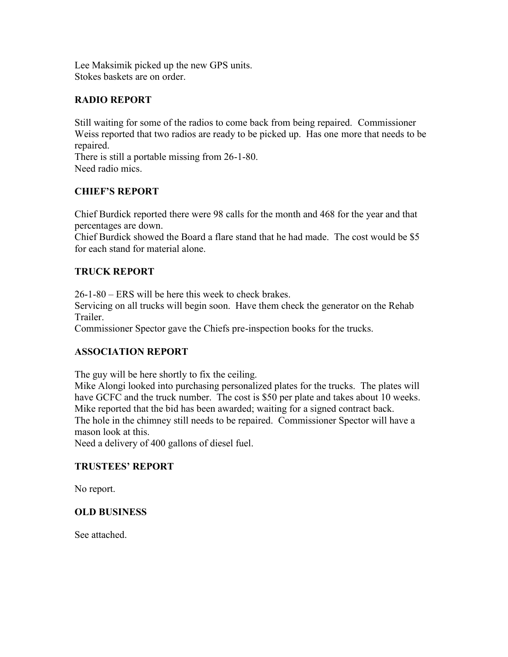Lee Maksimik picked up the new GPS units. Stokes baskets are on order.

# **RADIO REPORT**

Still waiting for some of the radios to come back from being repaired. Commissioner Weiss reported that two radios are ready to be picked up. Has one more that needs to be repaired.

There is still a portable missing from 26-1-80. Need radio mics.

# **CHIEF'S REPORT**

Chief Burdick reported there were 98 calls for the month and 468 for the year and that percentages are down.

Chief Burdick showed the Board a flare stand that he had made. The cost would be \$5 for each stand for material alone.

# **TRUCK REPORT**

26-1-80 – ERS will be here this week to check brakes.

Servicing on all trucks will begin soon. Have them check the generator on the Rehab Trailer.

Commissioner Spector gave the Chiefs pre-inspection books for the trucks.

## **ASSOCIATION REPORT**

The guy will be here shortly to fix the ceiling.

Mike Alongi looked into purchasing personalized plates for the trucks. The plates will have GCFC and the truck number. The cost is \$50 per plate and takes about 10 weeks. Mike reported that the bid has been awarded; waiting for a signed contract back. The hole in the chimney still needs to be repaired. Commissioner Spector will have a mason look at this.

Need a delivery of 400 gallons of diesel fuel.

## **TRUSTEES' REPORT**

No report.

## **OLD BUSINESS**

See attached.